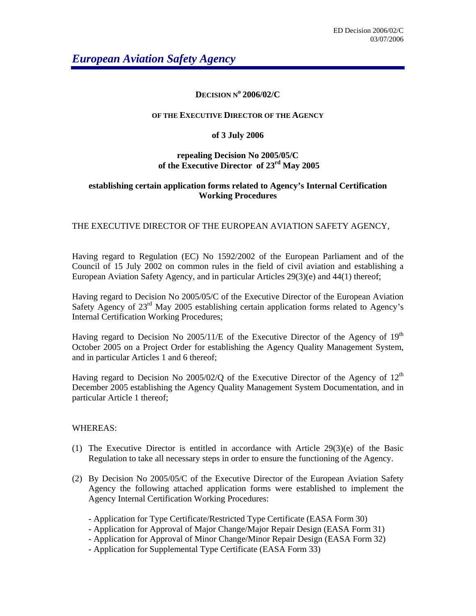# **DECISION No 2006/02/C**

### **OF THE EXECUTIVE DIRECTOR OF THE AGENCY**

## **of 3 July 2006**

# **repealing Decision No 2005/05/C of the Executive Director of 23rd May 2005**

# **establishing certain application forms related to Agency's Internal Certification Working Procedures**

## THE EXECUTIVE DIRECTOR OF THE EUROPEAN AVIATION SAFETY AGENCY,

Having regard to Regulation (EC) No 1592/2002 of the European Parliament and of the Council of 15 July 2002 on common rules in the field of civil aviation and establishing a European Aviation Safety Agency, and in particular Articles 29(3)(e) and 44(1) thereof;

Having regard to Decision No 2005/05/C of the Executive Director of the European Aviation Safety Agency of  $23<sup>rd</sup>$  May 2005 establishing certain application forms related to Agency's Internal Certification Working Procedures;

Having regard to Decision No 2005/11/E of the Executive Director of the Agency of 19<sup>th</sup> October 2005 on a Project Order for establishing the Agency Quality Management System, and in particular Articles 1 and 6 thereof;

Having regard to Decision No 2005/02/Q of the Executive Director of the Agency of  $12<sup>th</sup>$ December 2005 establishing the Agency Quality Management System Documentation, and in particular Article 1 thereof;

### WHEREAS:

- (1) The Executive Director is entitled in accordance with Article  $29(3)(e)$  of the Basic Regulation to take all necessary steps in order to ensure the functioning of the Agency.
- (2) By Decision No 2005/05/C of the Executive Director of the European Aviation Safety Agency the following attached application forms were established to implement the Agency Internal Certification Working Procedures:
	- Application for Type Certificate/Restricted Type Certificate (EASA Form 30)
	- Application for Approval of Major Change/Major Repair Design (EASA Form 31)
	- Application for Approval of Minor Change/Minor Repair Design (EASA Form 32)
	- Application for Supplemental Type Certificate (EASA Form 33)